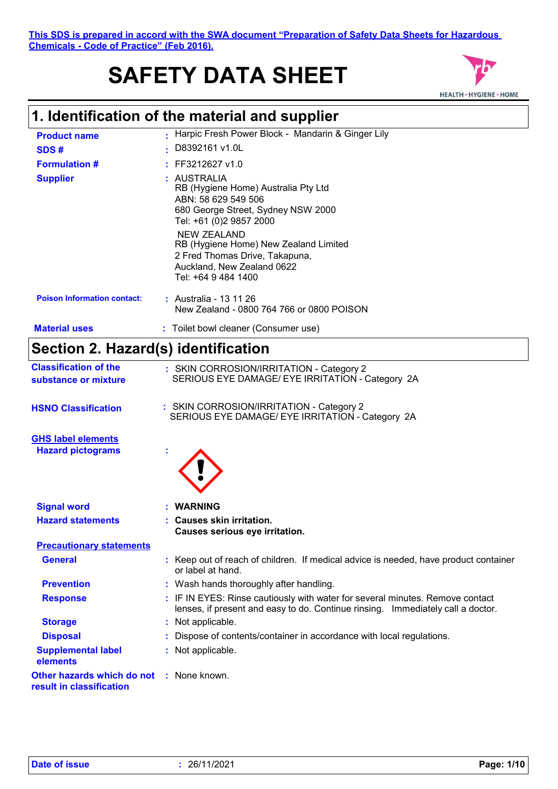# **SAFETY DATA SHEET**



| <b>Product name</b>                                    | Harpic Fresh Power Block - Mandarin & Ginger Lily                                                                                                                                                                                                                                                |
|--------------------------------------------------------|--------------------------------------------------------------------------------------------------------------------------------------------------------------------------------------------------------------------------------------------------------------------------------------------------|
| SDS#                                                   | D8392161 v1.0L                                                                                                                                                                                                                                                                                   |
| <b>Formulation #</b>                                   | FF3212627 v1.0                                                                                                                                                                                                                                                                                   |
| <b>Supplier</b>                                        | : AUSTRALIA<br>RB (Hygiene Home) Australia Pty Ltd<br>ABN: 58 629 549 506<br>680 George Street, Sydney NSW 2000<br>Tel: +61 (0)2 9857 2000<br><b>NEW ZEALAND</b><br>RB (Hygiene Home) New Zealand Limited<br>2 Fred Thomas Drive, Takapuna,<br>Auckland, New Zealand 0622<br>Tel: +64 9 484 1400 |
| <b>Poison Information contact:</b>                     | : Australia - 13 11 26<br>New Zealand - 0800 764 766 or 0800 POISON                                                                                                                                                                                                                              |
| <b>Material uses</b>                                   | : Toilet bowl cleaner (Consumer use)                                                                                                                                                                                                                                                             |
| Section 2. Hazard(s) identification                    |                                                                                                                                                                                                                                                                                                  |
| <b>Classification of the</b><br>substance or mixture   | : SKIN CORROSION/IRRITATION - Category 2<br>SERIOUS EYE DAMAGE/ EYE IRRITATION - Category 2A                                                                                                                                                                                                     |
| <b>HSNO Classification</b>                             | : SKIN CORROSION/IRRITATION - Category 2<br>SERIOUS EYE DAMAGE/ EYE IRRITATION - Category 2A                                                                                                                                                                                                     |
| <b>GHS label elements</b><br><b>Hazard pictograms</b>  |                                                                                                                                                                                                                                                                                                  |
| <b>Signal word</b>                                     | <b>WARNING</b>                                                                                                                                                                                                                                                                                   |
| <b>Hazard statements</b>                               | : Causes skin irritation.<br>Causes serious eye irritation.                                                                                                                                                                                                                                      |
| <b>Precautionary statements</b>                        |                                                                                                                                                                                                                                                                                                  |
| <b>General</b>                                         | : Keep out of reach of children. If medical advice is needed, have product container<br>or label at hand.                                                                                                                                                                                        |
| <b>Prevention</b>                                      | : Wash hands thoroughly after handling.                                                                                                                                                                                                                                                          |
| <b>Response</b>                                        | : IF IN EYES: Rinse cautiously with water for several minutes. Remove contact<br>lenses, if present and easy to do. Continue rinsing. Immediately call a doctor.                                                                                                                                 |
| <b>Storage</b>                                         | : Not applicable.                                                                                                                                                                                                                                                                                |
| <b>Disposal</b>                                        | Dispose of contents/container in accordance with local regulations.                                                                                                                                                                                                                              |
| <b>Supplemental label</b><br>elements                  | : Not applicable.                                                                                                                                                                                                                                                                                |
| Other hazards which do not<br>result in classification | : None known.                                                                                                                                                                                                                                                                                    |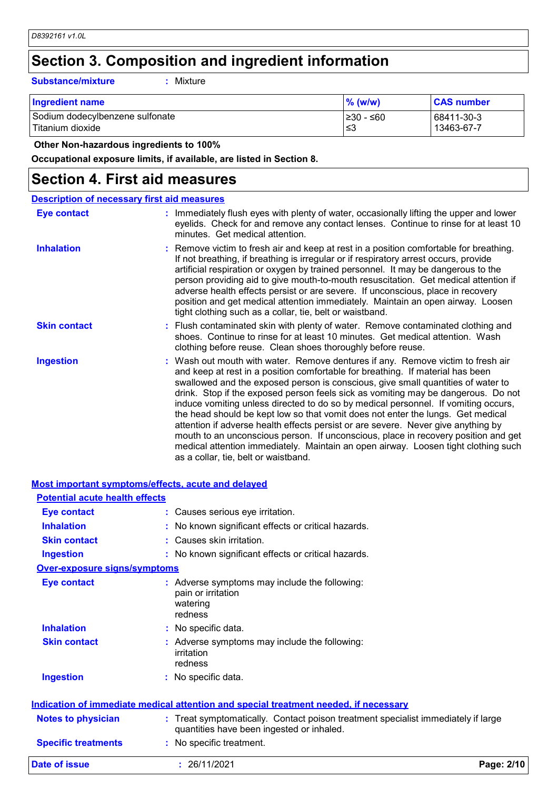## **Section 3. Composition and ingredient information**

#### **Substance/mixture :**

: Mixture

| <b>Ingredient name</b>          | $\%$ (w/w) | <b>CAS number</b> |
|---------------------------------|------------|-------------------|
| Sodium dodecylbenzene sulfonate | l≥30 - ≤60 | 68411-30-3        |
| Titanium dioxide                | .≤3        | 13463-67-7        |

 **Other Non-hazardous ingredients to 100%**

**Occupational exposure limits, if available, are listed in Section 8.**

### **Section 4. First aid measures**

|                     | <b>Description of necessary first aid measures</b>                                                                                                                                                                                                                                                                                                                                                                                                                                                                                                                                                                                                                                                                                                                                                                           |
|---------------------|------------------------------------------------------------------------------------------------------------------------------------------------------------------------------------------------------------------------------------------------------------------------------------------------------------------------------------------------------------------------------------------------------------------------------------------------------------------------------------------------------------------------------------------------------------------------------------------------------------------------------------------------------------------------------------------------------------------------------------------------------------------------------------------------------------------------------|
| Eye contact         | : Immediately flush eyes with plenty of water, occasionally lifting the upper and lower<br>eyelids. Check for and remove any contact lenses. Continue to rinse for at least 10<br>minutes. Get medical attention.                                                                                                                                                                                                                                                                                                                                                                                                                                                                                                                                                                                                            |
| <b>Inhalation</b>   | : Remove victim to fresh air and keep at rest in a position comfortable for breathing.<br>If not breathing, if breathing is irregular or if respiratory arrest occurs, provide<br>artificial respiration or oxygen by trained personnel. It may be dangerous to the<br>person providing aid to give mouth-to-mouth resuscitation. Get medical attention if<br>adverse health effects persist or are severe. If unconscious, place in recovery<br>position and get medical attention immediately. Maintain an open airway. Loosen<br>tight clothing such as a collar, tie, belt or waistband.                                                                                                                                                                                                                                 |
| <b>Skin contact</b> | : Flush contaminated skin with plenty of water. Remove contaminated clothing and<br>shoes. Continue to rinse for at least 10 minutes. Get medical attention. Wash<br>clothing before reuse. Clean shoes thoroughly before reuse.                                                                                                                                                                                                                                                                                                                                                                                                                                                                                                                                                                                             |
| <b>Ingestion</b>    | : Wash out mouth with water. Remove dentures if any. Remove victim to fresh air<br>and keep at rest in a position comfortable for breathing. If material has been<br>swallowed and the exposed person is conscious, give small quantities of water to<br>drink. Stop if the exposed person feels sick as vomiting may be dangerous. Do not<br>induce vomiting unless directed to do so by medical personnel. If vomiting occurs,<br>the head should be kept low so that vomit does not enter the lungs. Get medical<br>attention if adverse health effects persist or are severe. Never give anything by<br>mouth to an unconscious person. If unconscious, place in recovery position and get<br>medical attention immediately. Maintain an open airway. Loosen tight clothing such<br>as a collar, tie, belt or waistband. |

|                                       | <u>Most important symptoms/effects, acute and delayed</u>                                                                      |            |
|---------------------------------------|--------------------------------------------------------------------------------------------------------------------------------|------------|
| <b>Potential acute health effects</b> |                                                                                                                                |            |
| <b>Eye contact</b>                    | : Causes serious eye irritation.                                                                                               |            |
| <b>Inhalation</b>                     | : No known significant effects or critical hazards.                                                                            |            |
| <b>Skin contact</b>                   | : Causes skin irritation.                                                                                                      |            |
| <b>Ingestion</b>                      | : No known significant effects or critical hazards.                                                                            |            |
| <b>Over-exposure signs/symptoms</b>   |                                                                                                                                |            |
| <b>Eye contact</b>                    | : Adverse symptoms may include the following:<br>pain or irritation<br>watering<br>redness                                     |            |
| <b>Inhalation</b>                     | : No specific data.                                                                                                            |            |
| <b>Skin contact</b>                   | : Adverse symptoms may include the following:<br>irritation<br>redness                                                         |            |
| <b>Ingestion</b>                      | : No specific data.                                                                                                            |            |
|                                       | Indication of immediate medical attention and special treatment needed, if necessary                                           |            |
| <b>Notes to physician</b>             | : Treat symptomatically. Contact poison treatment specialist immediately if large<br>quantities have been ingested or inhaled. |            |
| <b>Specific treatments</b>            | : No specific treatment.                                                                                                       |            |
| Date of issue                         | : 26/11/2021                                                                                                                   | Page: 2/10 |

#### **Most important symptoms/effects, acute and delayed**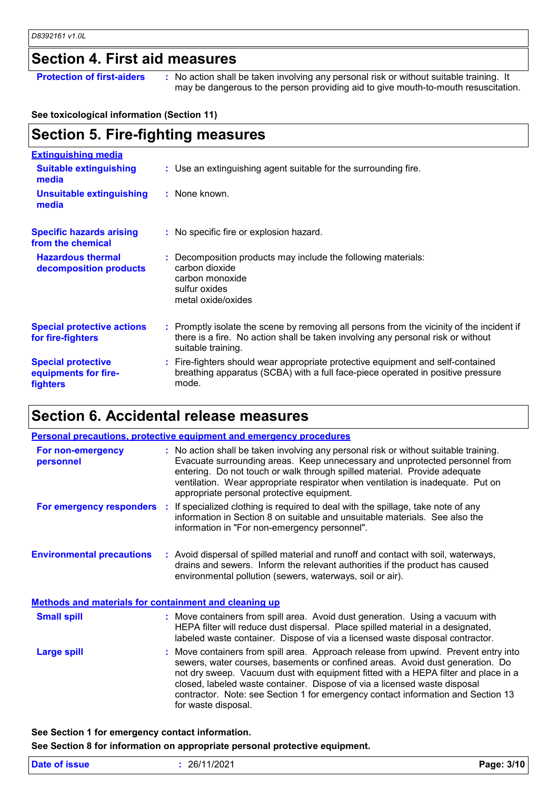### **Section 4. First aid measures**

**Protection of first-aiders** : No action shall be taken involving any personal risk or without suitable training. It may be dangerous to the person providing aid to give mouth-to-mouth resuscitation.

#### **See toxicological information (Section 11)**

### **Section 5. Fire-fighting measures**

| : Use an extinguishing agent suitable for the surrounding fire.                                                                                                                                     |
|-----------------------------------------------------------------------------------------------------------------------------------------------------------------------------------------------------|
| : None known.                                                                                                                                                                                       |
| : No specific fire or explosion hazard.                                                                                                                                                             |
| : Decomposition products may include the following materials:<br>carbon dioxide<br>carbon monoxide<br>sulfur oxides<br>metal oxide/oxides                                                           |
| : Promptly isolate the scene by removing all persons from the vicinity of the incident if<br>there is a fire. No action shall be taken involving any personal risk or without<br>suitable training. |
| : Fire-fighters should wear appropriate protective equipment and self-contained<br>breathing apparatus (SCBA) with a full face-piece operated in positive pressure<br>mode.                         |
|                                                                                                                                                                                                     |

### **Section 6. Accidental release measures**

| Personal precautions, protective equipment and emergency procedures |  |                                                                                                                                                                                                                                                                                                                                                                                                                                                    |  |
|---------------------------------------------------------------------|--|----------------------------------------------------------------------------------------------------------------------------------------------------------------------------------------------------------------------------------------------------------------------------------------------------------------------------------------------------------------------------------------------------------------------------------------------------|--|
| For non-emergency<br>personnel                                      |  | : No action shall be taken involving any personal risk or without suitable training.<br>Evacuate surrounding areas. Keep unnecessary and unprotected personnel from<br>entering. Do not touch or walk through spilled material. Provide adequate<br>ventilation. Wear appropriate respirator when ventilation is inadequate. Put on<br>appropriate personal protective equipment.                                                                  |  |
|                                                                     |  | <b>For emergency responders</b> : If specialized clothing is required to deal with the spillage, take note of any<br>information in Section 8 on suitable and unsuitable materials. See also the<br>information in "For non-emergency personnel".                                                                                                                                                                                                  |  |
| <b>Environmental precautions</b>                                    |  | : Avoid dispersal of spilled material and runoff and contact with soil, waterways,<br>drains and sewers. Inform the relevant authorities if the product has caused<br>environmental pollution (sewers, waterways, soil or air).                                                                                                                                                                                                                    |  |
| <b>Methods and materials for containment and cleaning up</b>        |  |                                                                                                                                                                                                                                                                                                                                                                                                                                                    |  |
| <b>Small spill</b>                                                  |  | : Move containers from spill area. Avoid dust generation. Using a vacuum with<br>HEPA filter will reduce dust dispersal. Place spilled material in a designated,<br>labeled waste container. Dispose of via a licensed waste disposal contractor.                                                                                                                                                                                                  |  |
| <b>Large spill</b>                                                  |  | : Move containers from spill area. Approach release from upwind. Prevent entry into<br>sewers, water courses, basements or confined areas. Avoid dust generation. Do<br>not dry sweep. Vacuum dust with equipment fitted with a HEPA filter and place in a<br>closed, labeled waste container. Dispose of via a licensed waste disposal<br>contractor. Note: see Section 1 for emergency contact information and Section 13<br>for waste disposal. |  |

### **See Section 1 for emergency contact information.**

**See Section 8 for information on appropriate personal protective equipment.**

| 26/11/2021<br>Date of issue | Page: 3/10 |
|-----------------------------|------------|
|-----------------------------|------------|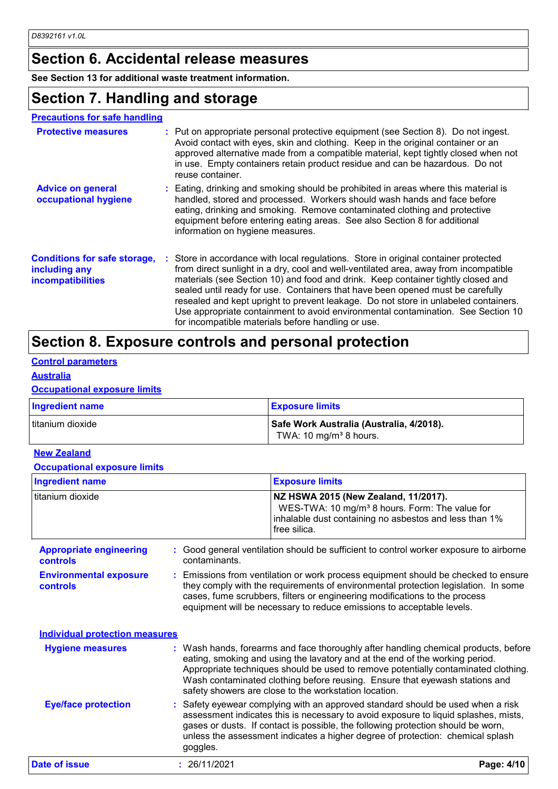### **Section 6. Accidental release measures**

**See Section 13 for additional waste treatment information.**

### **Section 7. Handling and storage**

#### **Precautions for safe handling**

| <b>Protective measures</b>                                                       | : Put on appropriate personal protective equipment (see Section 8). Do not ingest.<br>Avoid contact with eyes, skin and clothing. Keep in the original container or an<br>approved alternative made from a compatible material, kept tightly closed when not<br>in use. Empty containers retain product residue and can be hazardous. Do not<br>reuse container.                                                                                                                                                                                                                   |
|----------------------------------------------------------------------------------|------------------------------------------------------------------------------------------------------------------------------------------------------------------------------------------------------------------------------------------------------------------------------------------------------------------------------------------------------------------------------------------------------------------------------------------------------------------------------------------------------------------------------------------------------------------------------------|
| <b>Advice on general</b><br>occupational hygiene                                 | : Eating, drinking and smoking should be prohibited in areas where this material is<br>handled, stored and processed. Workers should wash hands and face before<br>eating, drinking and smoking. Remove contaminated clothing and protective<br>equipment before entering eating areas. See also Section 8 for additional<br>information on hygiene measures.                                                                                                                                                                                                                      |
| <b>Conditions for safe storage,</b><br>including any<br><b>incompatibilities</b> | : Store in accordance with local regulations. Store in original container protected<br>from direct sunlight in a dry, cool and well-ventilated area, away from incompatible<br>materials (see Section 10) and food and drink. Keep container tightly closed and<br>sealed until ready for use. Containers that have been opened must be carefully<br>resealed and kept upright to prevent leakage. Do not store in unlabeled containers.<br>Use appropriate containment to avoid environmental contamination. See Section 10<br>for incompatible materials before handling or use. |

### **Section 8. Exposure controls and personal protection**

### **Control parameters**

#### **Australia**

#### **Occupational exposure limits**

| <b>Ingredient name</b> | <b>Exposure limits</b>                                                         |
|------------------------|--------------------------------------------------------------------------------|
| titanium dioxide       | Safe Work Australia (Australia, 4/2018).<br>TWA: 10 mg/m <sup>3</sup> 8 hours. |

#### **New Zealand**

#### **Occupational exposure limits**

| <b>Ingredient name</b>                            | <b>Exposure limits</b>                                                                                                                                                                                                                                                                                                                                                                            |  |
|---------------------------------------------------|---------------------------------------------------------------------------------------------------------------------------------------------------------------------------------------------------------------------------------------------------------------------------------------------------------------------------------------------------------------------------------------------------|--|
| l titanium dioxide                                | NZ HSWA 2015 (New Zealand, 11/2017).<br>WES-TWA: 10 mg/m <sup>3</sup> 8 hours. Form: The value for<br>inhalable dust containing no asbestos and less than 1%<br>free silica.                                                                                                                                                                                                                      |  |
| <b>Appropriate engineering</b><br><b>controls</b> | : Good general ventilation should be sufficient to control worker exposure to airborne<br>contaminants.                                                                                                                                                                                                                                                                                           |  |
| <b>Environmental exposure</b><br><b>controls</b>  | : Emissions from ventilation or work process equipment should be checked to ensure<br>they comply with the requirements of environmental protection legislation. In some<br>cases, fume scrubbers, filters or engineering modifications to the process<br>equipment will be necessary to reduce emissions to acceptable levels.                                                                   |  |
| <b>Individual protection measures</b>             |                                                                                                                                                                                                                                                                                                                                                                                                   |  |
| <b>Hygiene measures</b>                           | : Wash hands, forearms and face thoroughly after handling chemical products, before<br>eating, smoking and using the lavatory and at the end of the working period.<br>Appropriate techniques should be used to remove potentially contaminated clothing.<br>Wash contaminated clothing before reusing. Ensure that eyewash stations and<br>safety showers are close to the workstation location. |  |
| <b>Eye/face protection</b>                        | : Safety eyewear complying with an approved standard should be used when a risk<br>assessment indicates this is necessary to avoid exposure to liquid splashes, mists,                                                                                                                                                                                                                            |  |

#### Safety eyewear complying with an approved standard should be used when a risk assessment indicates this is necessary to avoid exposure to liquid splashes, mists, gases or dusts. If contact is possible, the following protection should be worn, unless the assessment indicates a higher degree of protection: chemical splash goggles.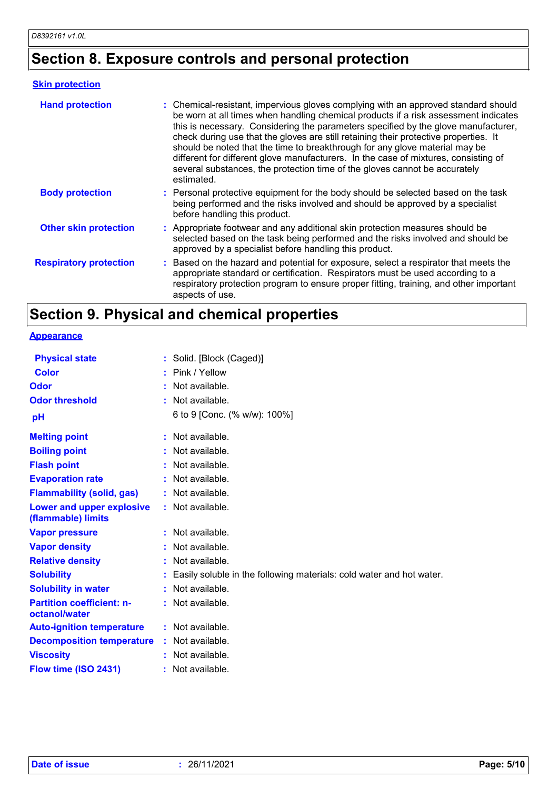### **Section 8. Exposure controls and personal protection**

### **Skin protection**

| <b>Hand protection</b>        | : Chemical-resistant, impervious gloves complying with an approved standard should<br>be worn at all times when handling chemical products if a risk assessment indicates<br>this is necessary. Considering the parameters specified by the glove manufacturer,<br>check during use that the gloves are still retaining their protective properties. It<br>should be noted that the time to breakthrough for any glove material may be<br>different for different glove manufacturers. In the case of mixtures, consisting of<br>several substances, the protection time of the gloves cannot be accurately<br>estimated. |
|-------------------------------|---------------------------------------------------------------------------------------------------------------------------------------------------------------------------------------------------------------------------------------------------------------------------------------------------------------------------------------------------------------------------------------------------------------------------------------------------------------------------------------------------------------------------------------------------------------------------------------------------------------------------|
| <b>Body protection</b>        | : Personal protective equipment for the body should be selected based on the task<br>being performed and the risks involved and should be approved by a specialist<br>before handling this product.                                                                                                                                                                                                                                                                                                                                                                                                                       |
| <b>Other skin protection</b>  | : Appropriate footwear and any additional skin protection measures should be<br>selected based on the task being performed and the risks involved and should be<br>approved by a specialist before handling this product.                                                                                                                                                                                                                                                                                                                                                                                                 |
| <b>Respiratory protection</b> | : Based on the hazard and potential for exposure, select a respirator that meets the<br>appropriate standard or certification. Respirators must be used according to a<br>respiratory protection program to ensure proper fitting, training, and other important<br>aspects of use.                                                                                                                                                                                                                                                                                                                                       |

### **Section 9. Physical and chemical properties**

**Appearance**

| <b>Physical state</b>                             |    | : Solid. [Block (Caged)]                                             |
|---------------------------------------------------|----|----------------------------------------------------------------------|
| Color                                             |    | Pink / Yellow                                                        |
| Odor                                              |    | Not available.                                                       |
| <b>Odor threshold</b>                             |    | Not available.                                                       |
| pH                                                |    | 6 to 9 [Conc. (% w/w): 100%]                                         |
| <b>Melting point</b>                              | ÷. | Not available.                                                       |
| <b>Boiling point</b>                              |    | Not available.                                                       |
| <b>Flash point</b>                                |    | Not available.                                                       |
| <b>Evaporation rate</b>                           |    | Not available.                                                       |
| <b>Flammability (solid, gas)</b>                  |    | Not available.                                                       |
| Lower and upper explosive<br>(flammable) limits   |    | : Not available.                                                     |
| <b>Vapor pressure</b>                             |    | Not available.                                                       |
| <b>Vapor density</b>                              |    | Not available.                                                       |
| <b>Relative density</b>                           |    | Not available.                                                       |
| <b>Solubility</b>                                 |    | Easily soluble in the following materials: cold water and hot water. |
| <b>Solubility in water</b>                        |    | Not available.                                                       |
| <b>Partition coefficient: n-</b><br>octanol/water |    | : Not available.                                                     |
| <b>Auto-ignition temperature</b>                  |    | : Not available.                                                     |
| <b>Decomposition temperature</b>                  |    | : Not available.                                                     |
| <b>Viscosity</b>                                  |    | Not available.                                                       |
| Flow time (ISO 2431)                              |    | Not available.                                                       |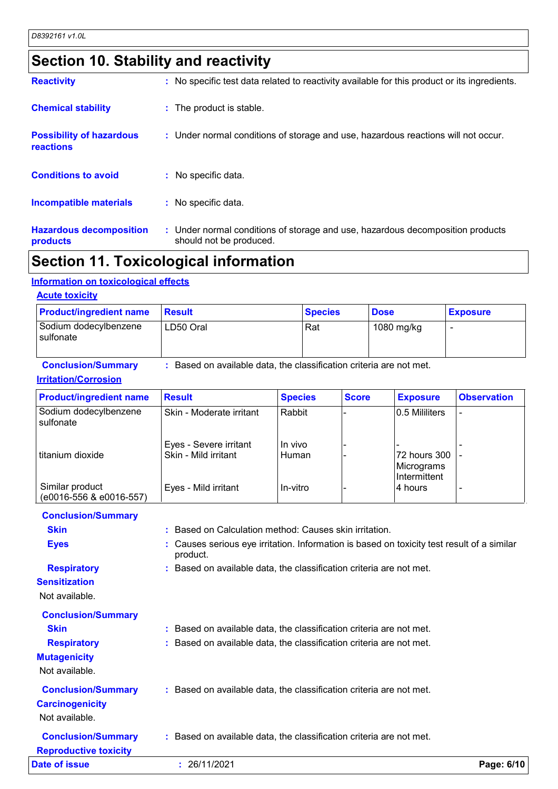### **Section 10. Stability and reactivity**

| <b>Hazardous decomposition</b><br>products   | : Under normal conditions of storage and use, hazardous decomposition products<br>should not be produced. |
|----------------------------------------------|-----------------------------------------------------------------------------------------------------------|
| <b>Incompatible materials</b>                | : No specific data.                                                                                       |
| <b>Conditions to avoid</b>                   | $:$ No specific data.                                                                                     |
| <b>Possibility of hazardous</b><br>reactions | : Under normal conditions of storage and use, hazardous reactions will not occur.                         |
| <b>Chemical stability</b>                    | : The product is stable.                                                                                  |
| <b>Reactivity</b>                            | : No specific test data related to reactivity available for this product or its ingredients.              |

### **Section 11. Toxicological information**

#### **Information on toxicological effects**

### **Acute toxicity**

| <b>Product/ingredient name</b>     | <b>∣Result</b> | <b>Species</b> | <b>Dose</b> | <b>Exposure</b> |
|------------------------------------|----------------|----------------|-------------|-----------------|
| Sodium dodecylbenzene<br>sulfonate | LD50 Oral      | Rat            | 1080 mg/kg  |                 |

#### **Conclusion/Summary :** Based on available data, the classification criteria are not met.

#### **Irritation/Corrosion**

| <b>SUIJULIQIC</b>                                        |                                                                     |                |              |                                            |                    |
|----------------------------------------------------------|---------------------------------------------------------------------|----------------|--------------|--------------------------------------------|--------------------|
| <b>Conclusion/Summary</b><br><b>Irritation/Corrosion</b> | : Based on available data, the classification criteria are not met. |                |              |                                            |                    |
| <b>Product/ingredient name</b>                           | <b>Result</b>                                                       | <b>Species</b> | <b>Score</b> | <b>Exposure</b>                            | <b>Observation</b> |
| Sodium dodecylbenzene<br>sulfonate                       | Skin - Moderate irritant                                            | Rabbit         |              | 0.5 Mililiters                             |                    |
|                                                          | Eyes - Severe irritant                                              | In vivo        |              |                                            |                    |
| titanium dioxide                                         | Skin - Mild irritant                                                | Human          |              | 72 hours 300<br>Micrograms<br>Intermittent |                    |
| Similar product<br>(e0016-556 & e0016-557)               | Eyes - Mild irritant                                                | In-vitro       |              | 4 hours                                    |                    |

| <b>Conclusion/Summary</b>    |                                                                                                        |            |
|------------------------------|--------------------------------------------------------------------------------------------------------|------------|
| <b>Skin</b>                  | : Based on Calculation method: Causes skin irritation.                                                 |            |
| <b>Eyes</b>                  | : Causes serious eye irritation. Information is based on toxicity test result of a similar<br>product. |            |
| <b>Respiratory</b>           | : Based on available data, the classification criteria are not met.                                    |            |
| <b>Sensitization</b>         |                                                                                                        |            |
| Not available.               |                                                                                                        |            |
| <b>Conclusion/Summary</b>    |                                                                                                        |            |
| <b>Skin</b>                  | : Based on available data, the classification criteria are not met.                                    |            |
| <b>Respiratory</b>           | : Based on available data, the classification criteria are not met.                                    |            |
| <b>Mutagenicity</b>          |                                                                                                        |            |
| Not available.               |                                                                                                        |            |
| <b>Conclusion/Summary</b>    | : Based on available data, the classification criteria are not met.                                    |            |
| <b>Carcinogenicity</b>       |                                                                                                        |            |
| Not available.               |                                                                                                        |            |
| <b>Conclusion/Summary</b>    | : Based on available data, the classification criteria are not met.                                    |            |
| <b>Reproductive toxicity</b> |                                                                                                        |            |
| <b>Date of issue</b>         | : 26/11/2021                                                                                           | Page: 6/10 |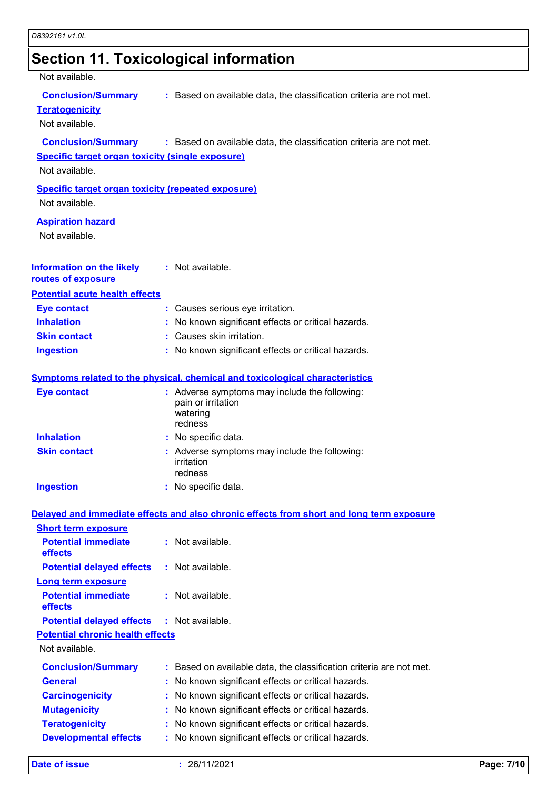|                                                                                                        | <b>Section 11. Toxicological information</b>                                               |
|--------------------------------------------------------------------------------------------------------|--------------------------------------------------------------------------------------------|
| Not available.                                                                                         |                                                                                            |
| <b>Conclusion/Summary</b><br><b>Teratogenicity</b><br>Not available.                                   | : Based on available data, the classification criteria are not met.                        |
| <b>Conclusion/Summary</b><br><b>Specific target organ toxicity (single exposure)</b><br>Not available. | : Based on available data, the classification criteria are not met.                        |
| <b>Specific target organ toxicity (repeated exposure)</b><br>Not available.                            |                                                                                            |
| <b>Aspiration hazard</b><br>Not available.                                                             |                                                                                            |
| <b>Information on the likely</b><br>routes of exposure                                                 | : Not available.                                                                           |
| <b>Potential acute health effects</b>                                                                  |                                                                                            |
| <b>Eye contact</b>                                                                                     | : Causes serious eye irritation.                                                           |
| <b>Inhalation</b>                                                                                      | No known significant effects or critical hazards.                                          |
| <b>Skin contact</b>                                                                                    | : Causes skin irritation.                                                                  |
| <b>Ingestion</b>                                                                                       | : No known significant effects or critical hazards.                                        |
|                                                                                                        | <b>Symptoms related to the physical, chemical and toxicological characteristics</b>        |
| <b>Eye contact</b>                                                                                     | : Adverse symptoms may include the following:<br>pain or irritation<br>watering<br>redness |
| <b>Inhalation</b>                                                                                      | : No specific data.                                                                        |
| <b>Skin contact</b>                                                                                    | Adverse symptoms may include the following:<br>irritation<br>redness                       |
| <b>Ingestion</b>                                                                                       | : No specific data.                                                                        |
|                                                                                                        | Delayed and immediate effects and also chronic effects from short and long term exposure   |
| <b>Short term exposure</b>                                                                             |                                                                                            |
| <b>Potential immediate</b><br>effects                                                                  | : Not available.                                                                           |
| <b>Potential delayed effects</b>                                                                       | : Not available.                                                                           |
| <b>Long term exposure</b>                                                                              |                                                                                            |
| <b>Potential immediate</b><br>effects                                                                  | : Not available.                                                                           |
| <b>Potential delayed effects</b>                                                                       | : Not available.                                                                           |
| <b>Potential chronic health effects</b>                                                                |                                                                                            |
| Not available.                                                                                         |                                                                                            |
|                                                                                                        | Conclusion/Summary  . Resed on available data the classification criteria are not met      |

| <b>Conclusion/Summary</b> | : Based on available data, the classification criteria are not met. |
|---------------------------|---------------------------------------------------------------------|
| General                   | : No known significant effects or critical hazards.                 |
| <b>Carcinogenicity</b>    | : No known significant effects or critical hazards.                 |
| <b>Mutagenicity</b>       | : No known significant effects or critical hazards.                 |
| <b>Teratogenicity</b>     | : No known significant effects or critical hazards.                 |
| Dovolonmontal offoote     | . No known significant offects or critical bazards                  |

**Developmental effects :** No known significant effects or critical hazards.

**Date of issue :** 26/11/2021 **Page: 7/10**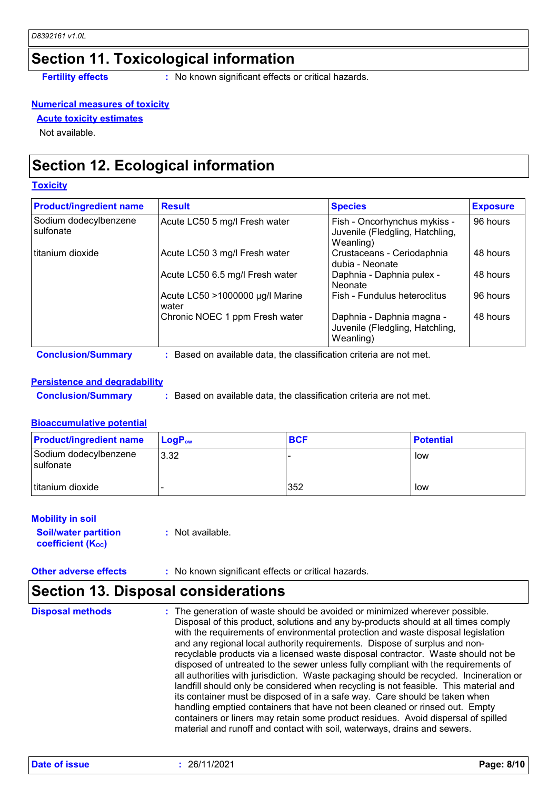### **Section 11. Toxicological information**

**Fertility effects** : No known significant effects or critical hazards.

#### **Numerical measures of toxicity**

**Acute toxicity estimates**

Not available.

### **Section 12. Ecological information**

#### **Toxicity**

| <b>Product/ingredient name</b>     | <b>Result</b>                            | <b>Species</b>                                                               | <b>Exposure</b> |
|------------------------------------|------------------------------------------|------------------------------------------------------------------------------|-----------------|
| Sodium dodecylbenzene<br>sulfonate | Acute LC50 5 mg/l Fresh water            | Fish - Oncorhynchus mykiss -<br>Juvenile (Fledgling, Hatchling,<br>Weanling) | 96 hours        |
| I titanium dioxide                 | Acute LC50 3 mg/l Fresh water            | Crustaceans - Ceriodaphnia<br>dubia - Neonate                                | 48 hours        |
|                                    | Acute LC50 6.5 mg/l Fresh water          | Daphnia - Daphnia pulex -<br>Neonate                                         | 48 hours        |
|                                    | Acute LC50 >1000000 µg/l Marine<br>water | Fish - Fundulus heteroclitus                                                 | 96 hours        |
|                                    | Chronic NOEC 1 ppm Fresh water           | Daphnia - Daphnia magna -<br>Juvenile (Fledgling, Hatchling,<br>Weanling)    | 48 hours        |

**Conclusion/Summary :** Based on available data, the classification criteria are not met.

#### **Persistence and degradability**

**Conclusion/Summary :** Based on available data, the classification criteria are not met.

#### **Bioaccumulative potential**

| <b>Product/ingredient name</b>     | $\mathsf{LogP}_\mathsf{ow}$ | <b>BCF</b> | <b>Potential</b> |
|------------------------------------|-----------------------------|------------|------------------|
| Sodium dodecylbenzene<br>sulfonate | 3.32                        |            | low              |
| titanium dioxide                   |                             | 352        | low              |

#### **Mobility in soil**

**Soil/water partition coefficient (Koc)** 

**:** Not available.

**Other adverse effects** : No known significant effects or critical hazards.

### **Section 13. Disposal considerations**

The generation of waste should be avoided or minimized wherever possible. Disposal of this product, solutions and any by-products should at all times comply with the requirements of environmental protection and waste disposal legislation and any regional local authority requirements. Dispose of surplus and nonrecyclable products via a licensed waste disposal contractor. Waste should not be disposed of untreated to the sewer unless fully compliant with the requirements of all authorities with jurisdiction. Waste packaging should be recycled. Incineration or landfill should only be considered when recycling is not feasible. This material and its container must be disposed of in a safe way. Care should be taken when handling emptied containers that have not been cleaned or rinsed out. Empty containers or liners may retain some product residues. Avoid dispersal of spilled material and runoff and contact with soil, waterways, drains and sewers. **Disposal methods :**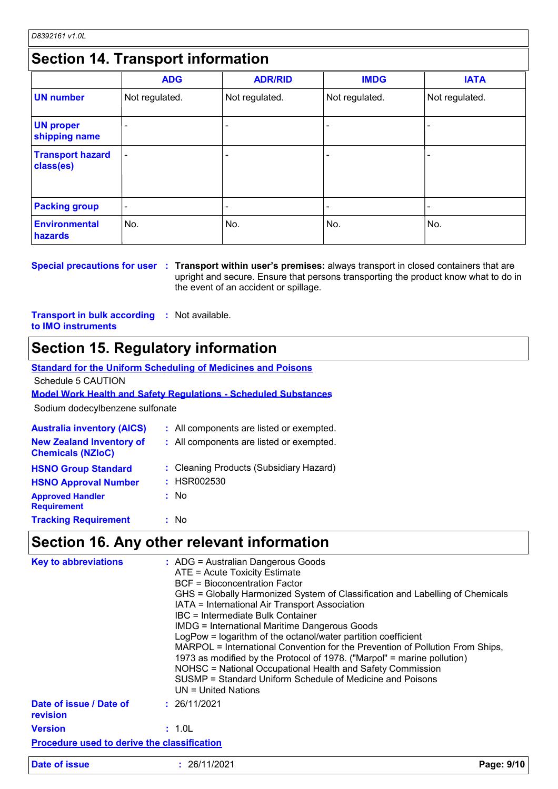### **Section 14. Transport information**

|                                      | <b>ADG</b>     | <b>ADR/RID</b> | <b>IMDG</b>    | <b>IATA</b>    |
|--------------------------------------|----------------|----------------|----------------|----------------|
| <b>UN number</b>                     | Not regulated. | Not regulated. | Not regulated. | Not regulated. |
| <b>UN proper</b><br>shipping name    | -              |                |                |                |
| <b>Transport hazard</b><br>class(es) | $\overline{a}$ |                |                | $\blacksquare$ |
| <b>Packing group</b>                 | ۰              |                |                |                |
| <b>Environmental</b><br>hazards      | No.            | No.            | No.            | No.            |

**Special precautions for user Transport within user's premises:** always transport in closed containers that are **:** upright and secure. Ensure that persons transporting the product know what to do in the event of an accident or spillage.

**Transport in bulk according :** Not available. **to IMO instruments**

### **Section 15. Regulatory information**

| Standard for the Uniform Scheduling of Medicines and Poisons |  |
|--------------------------------------------------------------|--|
|                                                              |  |

Schedule 5 CAUTION

**Model Work Health and Safety Regulations - Scheduled Substances**

Sodium dodecylbenzene sulfonate

| <b>Australia inventory (AICS)</b>                           | : All components are listed or exempted. |
|-------------------------------------------------------------|------------------------------------------|
| <b>New Zealand Inventory of</b><br><b>Chemicals (NZIoC)</b> | : All components are listed or exempted. |
| <b>HSNO Group Standard</b>                                  | : Cleaning Products (Subsidiary Hazard)  |
| <b>HSNO Approval Number</b>                                 | : HSR002530                              |
| <b>Approved Handler</b><br><b>Requirement</b>               | : No                                     |
| <b>Tracking Requirement</b>                                 | : No                                     |

### **Section 16. Any other relevant information**

| <b>Key to abbreviations</b>                        | : ADG = Australian Dangerous Goods<br>ATE = Acute Toxicity Estimate<br><b>BCF</b> = Bioconcentration Factor<br>GHS = Globally Harmonized System of Classification and Labelling of Chemicals<br>IATA = International Air Transport Association<br>IBC = Intermediate Bulk Container<br><b>IMDG = International Maritime Dangerous Goods</b><br>LogPow = logarithm of the octanol/water partition coefficient<br>MARPOL = International Convention for the Prevention of Pollution From Ships,<br>1973 as modified by the Protocol of 1978. ("Marpol" = marine pollution)<br>NOHSC = National Occupational Health and Safety Commission<br>SUSMP = Standard Uniform Schedule of Medicine and Poisons<br>$UN = United Nations$ |            |
|----------------------------------------------------|------------------------------------------------------------------------------------------------------------------------------------------------------------------------------------------------------------------------------------------------------------------------------------------------------------------------------------------------------------------------------------------------------------------------------------------------------------------------------------------------------------------------------------------------------------------------------------------------------------------------------------------------------------------------------------------------------------------------------|------------|
| Date of issue / Date of<br>revision                | : 26/11/2021                                                                                                                                                                                                                                                                                                                                                                                                                                                                                                                                                                                                                                                                                                                 |            |
| <b>Version</b>                                     | : 1.0L                                                                                                                                                                                                                                                                                                                                                                                                                                                                                                                                                                                                                                                                                                                       |            |
| <b>Procedure used to derive the classification</b> |                                                                                                                                                                                                                                                                                                                                                                                                                                                                                                                                                                                                                                                                                                                              |            |
| Date of issue                                      | : 26/11/2021                                                                                                                                                                                                                                                                                                                                                                                                                                                                                                                                                                                                                                                                                                                 | Page: 9/10 |